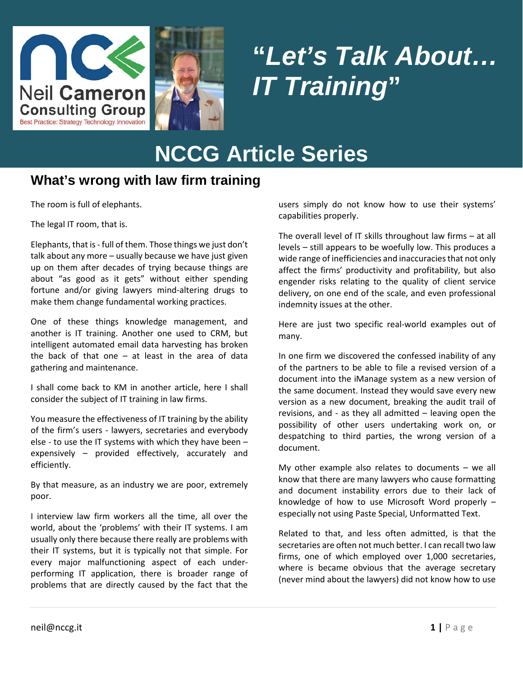



# **"***Let's Talk About… IT Training***"**

# **NCCG Article Series**

#### **What's wrong with law firm training**

The room is full of elephants.

The legal IT room, that is.

Elephants, that is - full of them. Those things we just don't talk about any more – usually because we have just given up on them after decades of trying because things are about "as good as it gets" without either spending fortune and/or giving lawyers mind-altering drugs to make them change fundamental working practices.

One of these things knowledge management, and another is IT training. Another one used to CRM, but intelligent automated email data harvesting has broken the back of that one – at least in the area of data gathering and maintenance.

I shall come back to KM in another article, here I shall consider the subject of IT training in law firms.

You measure the effectiveness of IT training by the ability of the firm's users - lawyers, secretaries and everybody else - to use the IT systems with which they have been – expensively – provided effectively, accurately and efficiently.

By that measure, as an industry we are poor, extremely poor.

I interview law firm workers all the time, all over the world, about the 'problems' with their IT systems. I am usually only there because there really are problems with their IT systems, but it is typically not that simple. For every major malfunctioning aspect of each underperforming IT application, there is broader range of problems that are directly caused by the fact that the

users simply do not know how to use their systems' capabilities properly.

The overall level of IT skills throughout law firms – at all levels – still appears to be woefully low. This produces a wide range of inefficiencies and inaccuracies that not only affect the firms' productivity and profitability, but also engender risks relating to the quality of client service delivery, on one end of the scale, and even professional indemnity issues at the other.

Here are just two specific real-world examples out of many.

In one firm we discovered the confessed inability of any of the partners to be able to file a revised version of a document into the iManage system as a new version of the same document. Instead they would save every new version as a new document, breaking the audit trail of revisions, and - as they all admitted – leaving open the possibility of other users undertaking work on, or despatching to third parties, the wrong version of a document.

My other example also relates to documents – we all know that there are many lawyers who cause formatting and document instability errors due to their lack of knowledge of how to use Microsoft Word properly – especially not using Paste Special, Unformatted Text.

Related to that, and less often admitted, is that the secretaries are often not much better. I can recall two law firms, one of which employed over 1,000 secretaries, where is became obvious that the average secretary (never mind about the lawyers) did not know how to use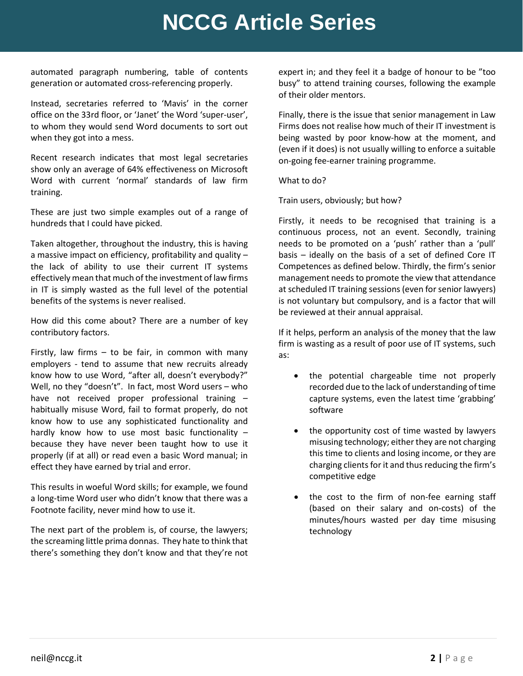## **NCCG Article Series**

automated paragraph numbering, table of contents generation or automated cross-referencing properly.

Instead, secretaries referred to 'Mavis' in the corner office on the 33rd floor, or 'Janet' the Word 'super-user', to whom they would send Word documents to sort out when they got into a mess.

Recent research indicates that most legal secretaries show only an average of 64% effectiveness on Microsoft Word with current 'normal' standards of law firm training.

These are just two simple examples out of a range of hundreds that I could have picked.

Taken altogether, throughout the industry, this is having a massive impact on efficiency, profitability and quality – the lack of ability to use their current IT systems effectively mean that much of the investment of law firms in IT is simply wasted as the full level of the potential benefits of the systems is never realised.

How did this come about? There are a number of key contributory factors.

Firstly, law firms  $-$  to be fair, in common with many employers - tend to assume that new recruits already know how to use Word, "after all, doesn't everybody?" Well, no they "doesn't". In fact, most Word users – who have not received proper professional training – habitually misuse Word, fail to format properly, do not know how to use any sophisticated functionality and hardly know how to use most basic functionality – because they have never been taught how to use it properly (if at all) or read even a basic Word manual; in effect they have earned by trial and error.

This results in woeful Word skills; for example, we found a long-time Word user who didn't know that there was a Footnote facility, never mind how to use it.

The next part of the problem is, of course, the lawyers; the screaming little prima donnas. They hate to think that there's something they don't know and that they're not expert in; and they feel it a badge of honour to be "too busy" to attend training courses, following the example of their older mentors.

Finally, there is the issue that senior management in Law Firms does not realise how much of their IT investment is being wasted by poor know-how at the moment, and (even if it does) is not usually willing to enforce a suitable on-going fee-earner training programme.

What to do?

Train users, obviously; but how?

Firstly, it needs to be recognised that training is a continuous process, not an event. Secondly, training needs to be promoted on a 'push' rather than a 'pull' basis – ideally on the basis of a set of defined Core IT Competences as defined below. Thirdly, the firm's senior management needs to promote the view that attendance at scheduled IT training sessions (even for senior lawyers) is not voluntary but compulsory, and is a factor that will be reviewed at their annual appraisal.

If it helps, perform an analysis of the money that the law firm is wasting as a result of poor use of IT systems, such as:

- the potential chargeable time not properly recorded due to the lack of understanding of time capture systems, even the latest time 'grabbing' software
- the opportunity cost of time wasted by lawyers misusing technology; either they are not charging this time to clients and losing income, or they are charging clients for it and thus reducing the firm's competitive edge
- the cost to the firm of non-fee earning staff (based on their salary and on-costs) of the minutes/hours wasted per day time misusing technology